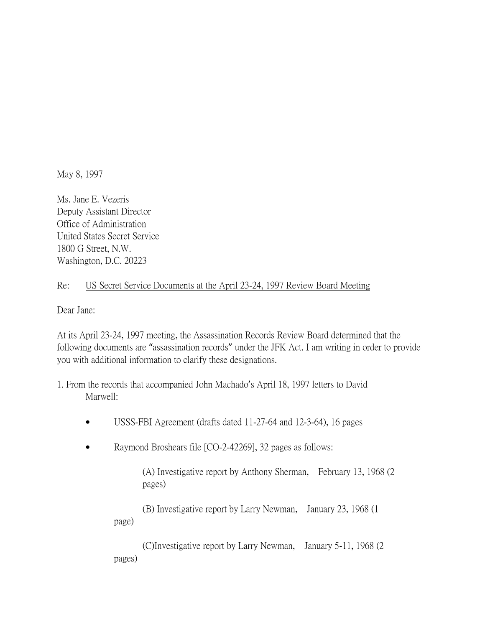May 8, 1997

Ms. Jane E. Vezeris Deputy Assistant Director Office of Administration United States Secret Service 1800 G Street, N.W. Washington, D.C. 20223

## Re: US Secret Service Documents at the April 23-24, 1997 Review Board Meeting

Dear Jane:

At its April 23-24, 1997 meeting, the Assassination Records Review Board determined that the following documents are "assassination records" under the JFK Act. I am writing in order to provide you with additional information to clarify these designations.

- 1. From the records that accompanied John Machado's April 18, 1997 letters to David Marwell:
	- USSS-FBI Agreement (drafts dated 11-27-64 and 12-3-64), 16 pages
	- Raymond Broshears file [CO-2-42269], 32 pages as follows:

(A) Investigative report by Anthony Sherman, February 13, 1968 (2 pages)

(B) Investigative report by Larry Newman, January 23, 1968 (1 page)

(C)Investigative report by Larry Newman, January 5-11, 1968 (2 pages)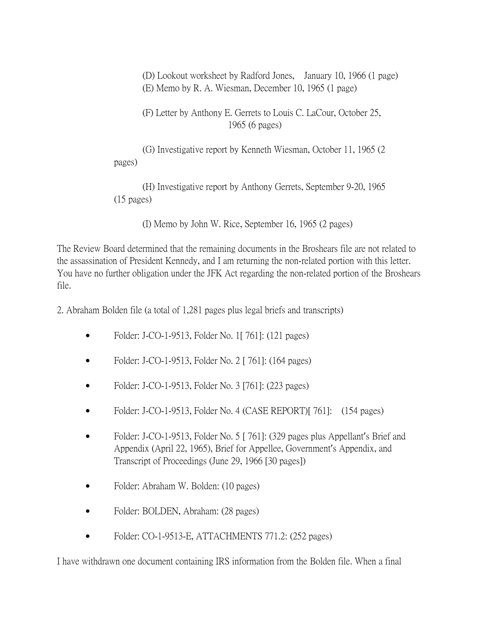(D) Lookout worksheet by Radford Jones, January 10, 1966 (1 page) (E) Memo by R. A. Wiesman, December 10, 1965 (1 page)

(F) Letter by Anthony E. Gerrets to Louis C. LaCour, October 25, 1965 (6 pages)

(G) Investigative report by Kenneth Wiesman, October 11, 1965 (2 pages)

(H) Investigative report by Anthony Gerrets, September 9-20, 1965 (15 pages)

(I) Memo by John W. Rice, September 16, 1965 (2 pages)

The Review Board determined that the remaining documents in the Broshears file are not related to the assassination of President Kennedy, and I am returning the non-related portion with this letter. You have no further obligation under the JFK Act regarding the non-related portion of the Broshears file.

2. Abraham Bolden file (a total of 1,281 pages plus legal briefs and transcripts)

- Folder: J-CO-1-9513, Folder No. 1[761]: (121 pages)
- Folder: J-CO-1-9513, Folder No. 2 [ 761]: (164 pages)
- Folder: J-CO-1-9513, Folder No. 3 [761]: (223 pages)
- Folder: J-CO-1-9513, Folder No. 4 (CASE REPORT)[ 761]: (154 pages)
- Folder: J-CO-1-9513, Folder No. 5 [ 761]: (329 pages plus Appellant's Brief and Appendix (April 22, 1965), Brief for Appellee, Government's Appendix, and Transcript of Proceedings (June 29, 1966 [30 pages])
- Folder: Abraham W. Bolden: (10 pages)
- Folder: BOLDEN, Abraham: (28 pages)
- Folder: CO-1-9513-E, ATTACHMENTS 771.2: (252 pages)

I have withdrawn one document containing IRS information from the Bolden file. When a final